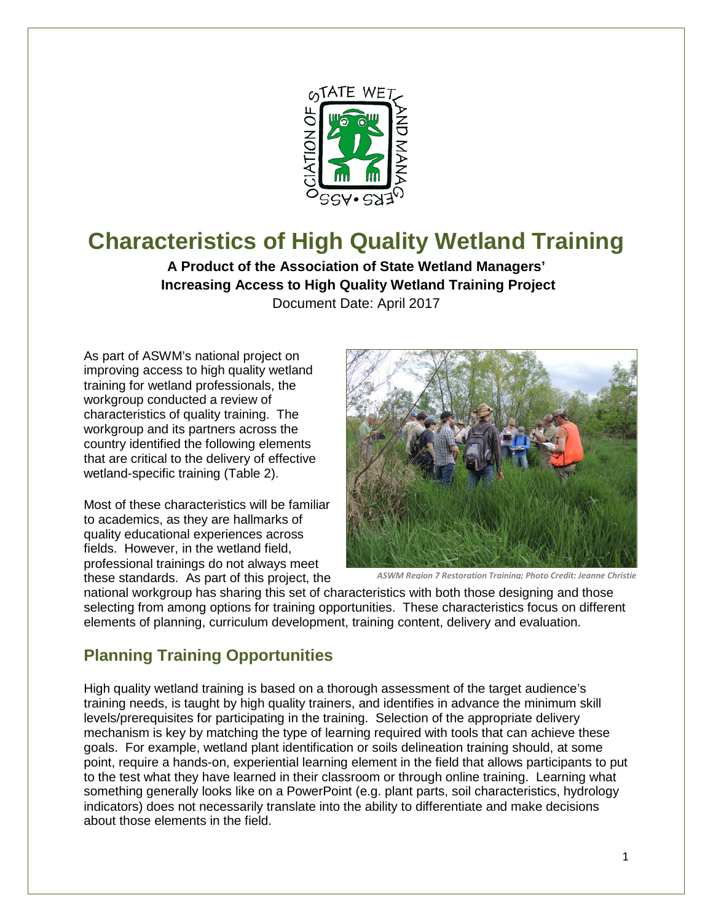

# **Characteristics of High Quality Wetland Training**

**A Product of the Association of State Wetland Managers' Increasing Access to High Quality Wetland Training Project** Document Date: April 2017

As part of ASWM's national project on improving access to high quality wetland training for wetland professionals, the workgroup conducted a review of characteristics of quality training. The workgroup and its partners across the country identified the following elements that are critical to the delivery of effective wetland-specific training (Table 2).

Most of these characteristics will be familiar to academics, as they are hallmarks of quality educational experiences across fields. However, in the wetland field, professional trainings do not always meet these standards. As part of this project, the



*ASWM Region 7 Restoration Training; Photo Credit: Jeanne Christie*

national workgroup has sharing this set of characteristics with both those designing and those selecting from among options for training opportunities. These characteristics focus on different elements of planning, curriculum development, training content, delivery and evaluation.

## **Planning Training Opportunities**

High quality wetland training is based on a thorough assessment of the target audience's training needs, is taught by high quality trainers, and identifies in advance the minimum skill levels/prerequisites for participating in the training. Selection of the appropriate delivery mechanism is key by matching the type of learning required with tools that can achieve these goals. For example, wetland plant identification or soils delineation training should, at some point, require a hands-on, experiential learning element in the field that allows participants to put to the test what they have learned in their classroom or through online training. Learning what something generally looks like on a PowerPoint (e.g. plant parts, soil characteristics, hydrology indicators) does not necessarily translate into the ability to differentiate and make decisions about those elements in the field.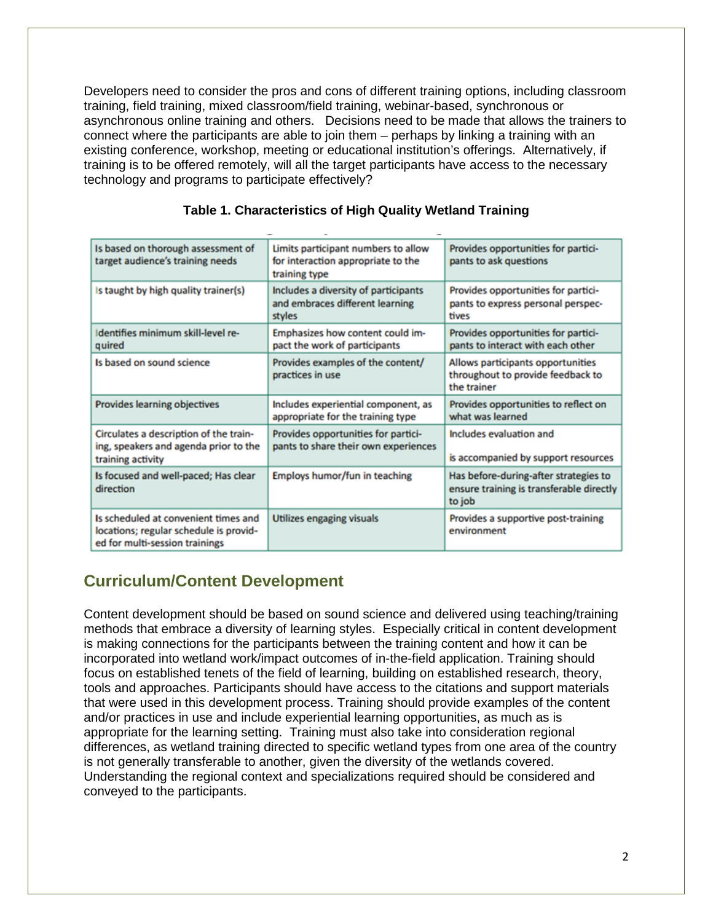Developers need to consider the pros and cons of different training options, including classroom training, field training, mixed classroom/field training, webinar-based, synchronous or asynchronous online training and others. Decisions need to be made that allows the trainers to connect where the participants are able to join them – perhaps by linking a training with an existing conference, workshop, meeting or educational institution's offerings. Alternatively, if training is to be offered remotely, will all the target participants have access to the necessary technology and programs to participate effectively?

| Is based on thorough assessment of<br>target audience's training needs                                           | Limits participant numbers to allow<br>for interaction appropriate to the<br>training type | Provides opportunities for partici-<br>pants to ask questions                               |
|------------------------------------------------------------------------------------------------------------------|--------------------------------------------------------------------------------------------|---------------------------------------------------------------------------------------------|
| Is taught by high quality trainer(s)                                                                             | Includes a diversity of participants<br>and embraces different learning<br>styles          | Provides opportunities for partici-<br>pants to express personal perspec-<br>tives          |
| Identifies minimum skill-level re-<br>quired                                                                     | Emphasizes how content could im-<br>pact the work of participants                          | Provides opportunities for partici-<br>pants to interact with each other                    |
| Is based on sound science                                                                                        | Provides examples of the content/<br>practices in use                                      | Allows participants opportunities<br>throughout to provide feedback to<br>the trainer       |
| Provides learning objectives                                                                                     | Includes experiential component, as<br>appropriate for the training type                   | Provides opportunities to reflect on<br>what was learned                                    |
| Circulates a description of the train-<br>ing, speakers and agenda prior to the<br>training activity             | Provides opportunities for partici-<br>pants to share their own experiences                | Includes evaluation and<br>is accompanied by support resources                              |
| Is focused and well-paced; Has clear<br>direction                                                                | Employs humor/fun in teaching                                                              | Has before-during-after strategies to<br>ensure training is transferable directly<br>to job |
| Is scheduled at convenient times and<br>locations; regular schedule is provid-<br>ed for multi-session trainings | Utilizes engaging visuals                                                                  | Provides a supportive post-training<br>environment                                          |

#### **Table 1. Characteristics of High Quality Wetland Training**

# **Curriculum/Content Development**

Content development should be based on sound science and delivered using teaching/training methods that embrace a diversity of learning styles. Especially critical in content development is making connections for the participants between the training content and how it can be incorporated into wetland work/impact outcomes of in-the-field application. Training should focus on established tenets of the field of learning, building on established research, theory, tools and approaches. Participants should have access to the citations and support materials that were used in this development process. Training should provide examples of the content and/or practices in use and include experiential learning opportunities, as much as is appropriate for the learning setting. Training must also take into consideration regional differences, as wetland training directed to specific wetland types from one area of the country is not generally transferable to another, given the diversity of the wetlands covered. Understanding the regional context and specializations required should be considered and conveyed to the participants.